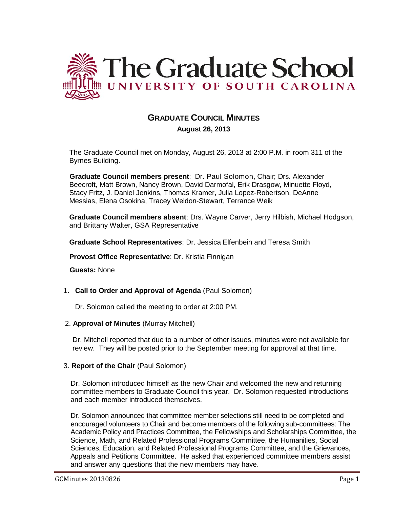

# **GRADUATE COUNCIL MINUTES**

 **August 26, 2013**

The Graduate Council met on Monday, August 26, 2013 at 2:00 P.M. in room 311 of the Byrnes Building.

**Graduate Council members present**: Dr. Paul Solomon, Chair; Drs. Alexander Beecroft, Matt Brown, Nancy Brown, David Darmofal, Erik Drasgow, Minuette Floyd, Stacy Fritz, J. Daniel Jenkins, Thomas Kramer, Julia Lopez-Robertson, DeAnne Messias, Elena Osokina, Tracey Weldon-Stewart, Terrance Weik

**Graduate Council members absent**: Drs. Wayne Carver, Jerry Hilbish, Michael Hodgson, and Brittany Walter, GSA Representative

**Graduate School Representatives**: Dr. Jessica Elfenbein and Teresa Smith

**Provost Office Representative**: Dr. Kristia Finnigan

**Guests:** None

1. **Call to Order and Approval of Agenda** (Paul Solomon)

Dr. Solomon called the meeting to order at 2:00 PM.

2. **Approval of Minutes** (Murray Mitchell)

Dr. Mitchell reported that due to a number of other issues, minutes were not available for review. They will be posted prior to the September meeting for approval at that time.

3. **Report of the Chair** (Paul Solomon)

Dr. Solomon introduced himself as the new Chair and welcomed the new and returning committee members to Graduate Council this year. Dr. Solomon requested introductions and each member introduced themselves.

Dr. Solomon announced that committee member selections still need to be completed and encouraged volunteers to Chair and become members of the following sub-committees: The Academic Policy and Practices Committee, the Fellowships and Scholarships Committee, the Science, Math, and Related Professional Programs Committee, the Humanities, Social Sciences, Education, and Related Professional Programs Committee, and the Grievances, Appeals and Petitions Committee. He asked that experienced committee members assist and answer any questions that the new members may have.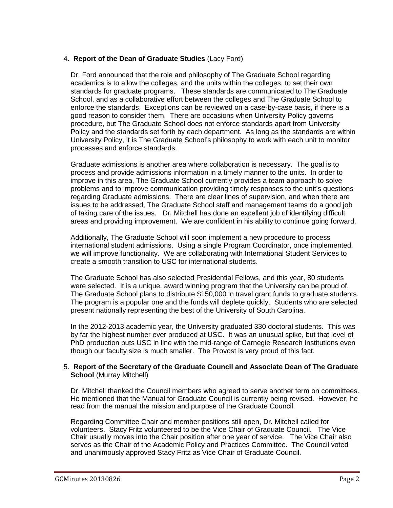# 4. **Report of the Dean of Graduate Studies** (Lacy Ford)

Dr. Ford announced that the role and philosophy of The Graduate School regarding academics is to allow the colleges, and the units within the colleges, to set their own standards for graduate programs. These standards are communicated to The Graduate School, and as a collaborative effort between the colleges and The Graduate School to enforce the standards. Exceptions can be reviewed on a case-by-case basis, if there is a good reason to consider them. There are occasions when University Policy governs procedure, but The Graduate School does not enforce standards apart from University Policy and the standards set forth by each department. As long as the standards are within University Policy, it is The Graduate School's philosophy to work with each unit to monitor processes and enforce standards.

Graduate admissions is another area where collaboration is necessary. The goal is to process and provide admissions information in a timely manner to the units. In order to improve in this area, The Graduate School currently provides a team approach to solve problems and to improve communication providing timely responses to the unit's questions regarding Graduate admissions. There are clear lines of supervision, and when there are issues to be addressed, The Graduate School staff and management teams do a good job of taking care of the issues. Dr. Mitchell has done an excellent job of identifying difficult areas and providing improvement. We are confident in his ability to continue going forward.

Additionally, The Graduate School will soon implement a new procedure to process international student admissions. Using a single Program Coordinator, once implemented, we will improve functionality. We are collaborating with International Student Services to create a smooth transition to USC for international students.

The Graduate School has also selected Presidential Fellows, and this year, 80 students were selected. It is a unique, award winning program that the University can be proud of. The Graduate School plans to distribute \$150,000 in travel grant funds to graduate students. The program is a popular one and the funds will deplete quickly. Students who are selected present nationally representing the best of the University of South Carolina.

In the 2012-2013 academic year, the University graduated 330 doctoral students. This was by far the highest number ever produced at USC. It was an unusual spike, but that level of PhD production puts USC in line with the mid-range of Carnegie Research Institutions even though our faculty size is much smaller. The Provost is very proud of this fact.

### 5. **Report of the Secretary of the Graduate Council and Associate Dean of The Graduate School** (Murray Mitchell)

Dr. Mitchell thanked the Council members who agreed to serve another term on committees. He mentioned that the Manual for Graduate Council is currently being revised. However, he read from the manual the mission and purpose of the Graduate Council.

Regarding Committee Chair and member positions still open, Dr. Mitchell called for volunteers. Stacy Fritz volunteered to be the Vice Chair of Graduate Council. The Vice Chair usually moves into the Chair position after one year of service. The Vice Chair also serves as the Chair of the Academic Policy and Practices Committee. The Council voted and unanimously approved Stacy Fritz as Vice Chair of Graduate Council.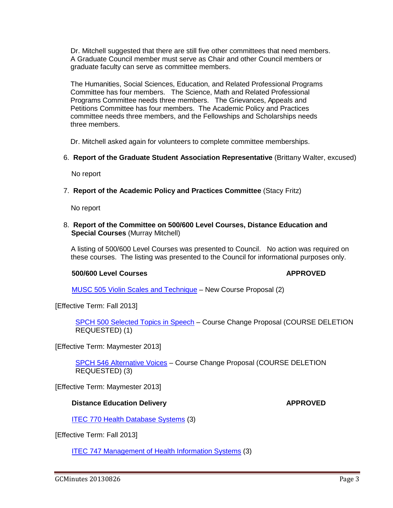Dr. Mitchell suggested that there are still five other committees that need members. A Graduate Council member must serve as Chair and other Council members or graduate faculty can serve as committee members.

The Humanities, Social Sciences, Education, and Related Professional Programs Committee has four members. The Science, Math and Related Professional Programs Committee needs three members. The Grievances, Appeals and Petitions Committee has four members. The Academic Policy and Practices committee needs three members, and the Fellowships and Scholarships needs three members.

Dr. Mitchell asked again for volunteers to complete committee memberships.

6. **Report of the Graduate Student Association Representative** (Brittany Walter, excused)

No report

7. **Report of the Academic Policy and Practices Committee** (Stacy Fritz)

No report

8. **Report of the Committee on 500/600 Level Courses, Distance Education and Special Courses** (Murray Mitchell)

 A listing of 500/600 Level Courses was presented to Council. No action was required on these courses. The listing was presented to the Council for informational purposes only.

#### **500/600 Level Courses APPROVED**

MUSC 505 Violin Scales and Technique – New Course Proposal (2)

[Effective Term: Fall 2013]

SPCH 500 Selected Topics in Speech – Course Change Proposal (COURSE DELETION REQUESTED) (1)

[Effective Term: Maymester 2013]

SPCH 546 Alternative Voices – Course Change Proposal (COURSE DELETION REQUESTED) (3)

[Effective Term: Maymester 2013]

### **Distance Education Delivery <b>APPROVED**

**ITEC 770 Health Database Systems (3)** 

[Effective Term: Fall 2013]

ITEC 747 Management of Health Information Systems (3)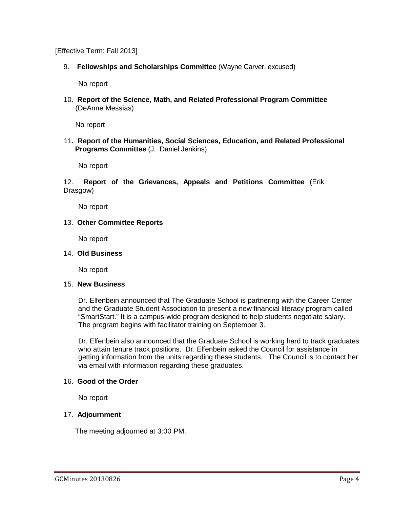[Effective Term: Fall 2013]

9. **Fellowships and Scholarships Committee** (Wayne Carver, excused)

No report

10. **Report of the Science, Math, and Related Professional Program Committee** (DeAnne Messias)

No report

11**. Report of the Humanities, Social Sciences, Education, and Related Professional Programs Committee** (J. Daniel Jenkins)

No report

12. **Report of the Grievances, Appeals and Petitions Committee** (Erik Drasgow)

No report

13. **Other Committee Reports**

No report

#### 14. **Old Business**

No report

#### 15. **New Business**

Dr. Elfenbein announced that The Graduate School is partnering with the Career Center and the Graduate Student Association to present a new financial literacy program called "SmartStart." It is a campus-wide program designed to help students negotiate salary. The program begins with facilitator training on September 3.

Dr. Elfenbein also announced that the Graduate School is working hard to track graduates who attain tenure track positions. Dr. Elfenbein asked the Council for assistance in getting information from the units regarding these students. The Council is to contact her via email with information regarding these graduates.

### 16. **Good of the Order**

No report

### 17. **Adjournment**

The meeting adjourned at 3:00 PM.